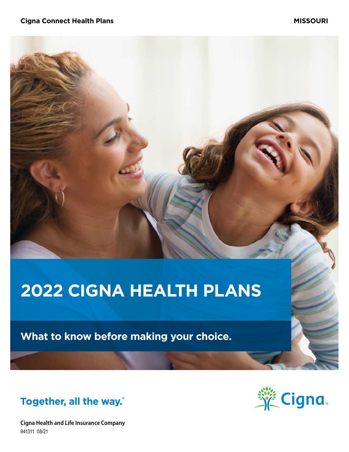# **2022 CIGNA HEALTH PLANS**

**What to know before making your choice.**



**Cigna Health and Life Insurance Company** 941311 08/21

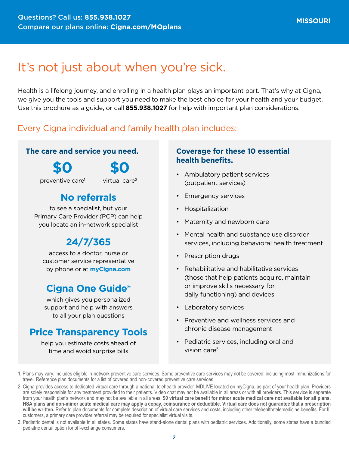# It's not just about when you're sick.

Health is a lifelong journey, and enrolling in a health plan plays an important part. That's why at Cigna, we give you the tools and support you need to make the best choice for your health and your budget. Use this brochure as a guide, or call **855.938.1027** for help with important plan considerations.

### Every Cigna individual and family health plan includes:

### **The care and service you need.**

**\$0**

**\$0**

preventive care1

virtual care2

### **No referrals**

to see a specialist, but your Primary Care Provider (PCP) can help you locate an in-network specialist

### **24/7/365**

access to a doctor, nurse or customer service representative by phone or at **[myCigna.com](http://myCigna.com)**

### **Cigna One Guide®**

which gives you personalized support and help with answers to all your plan questions

### **Price Transparency Tools**

help you estimate costs ahead of time and avoid surprise bills

### **Coverage for these 10 essential health benefits.**

- Ambulatory patient services (outpatient services)
- Emergency services
- Hospitalization
- Maternity and newborn care
- Mental health and substance use disorder services, including behavioral health treatment
- Prescription drugs
- Rehabilitative and habilitative services (those that help patients acquire, maintain or improve skills necessary for daily functioning) and devices
- Laboratory services
- Preventive and wellness services and chronic disease management
- Pediatric services, including oral and vision care $3$

3. Pediatric dental is not available in all states. Some states have stand-alone dental plans with pediatric services. Additionally, some states have a bundled pediatric dental option for off-exchange consumers.

<sup>1.</sup> Plans may vary. Includes eligible in-network preventive care services. Some preventive care services may not be covered, including most immunizations for travel. Reference plan documents for a list of covered and non-covered preventive care services.

<sup>2.</sup> Cigna provides access to dedicated virtual care through a national telehealth provider, MDLIVE located on myCigna, as part of your health plan. Providers are solely responsible for any treatment provided to their patients. Video chat may not be available in all areas or with all providers. This service is separate from your health plan's network and may not be available in all areas. **\$0 virtual care benefit for minor acute medical care not available for all plans. HSA plans and non-minor acute medical care may apply a copay, coinsurance or deductible. Virtual care does not guarantee that a prescription will be written.** Refer to plan documents for complete description of virtual care services and costs, including other telehealth/telemedicine benefits. For IL customers, a primary care provider referral may be required for specialist virtual visits.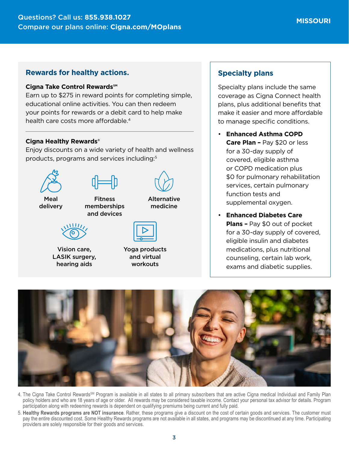#### **Rewards for healthy actions.**

#### **Cigna Take Control Rewards℠**

Earn up to \$275 in reward points for completing simple, educational online activities. You can then redeem your points for rewards or a debit card to help make health care costs more affordable.<sup>4</sup>

#### **Cigna Healthy Rewards®**

Enjoy discounts on a wide variety of health and wellness products, programs and services including:5



Vision care, LASIK surgery, hearing aids

Yoga products and virtual workouts

### **Specialty plans**

Specialty plans include the same coverage as Cigna Connect health plans, plus additional benefits that make it easier and more affordable to manage specific conditions.

- **Enhanced Asthma COPD Care Plan –** Pay \$20 or less for a 30-day supply of covered, eligible asthma or COPD medication plus \$0 for pulmonary rehabilitation services, certain pulmonary function tests and supplemental oxygen.
- **Enhanced Diabetes Care Plans –** Pay \$0 out of pocket for a 30-day supply of covered, eligible insulin and diabetes medications, plus nutritional counseling, certain lab work, exams and diabetic supplies.



- 4. The Cigna Take Control Rewards<sup>SM</sup> Program is available in all states to all primary subscribers that are active Cigna medical Individual and Family Plan policy holders and who are 18 years of age or older. All rewards may be considered taxable income. Contact your personal tax advisor for details. Program participation along with redeeming rewards is dependent on qualifying premiums being current and fully paid.
- 5. **Healthy Rewards programs are NOT insurance**. Rather, these programs give a discount on the cost of certain goods and services. The customer must pay the entire discounted cost. Some Healthy Rewards programs are not available in all states, and programs may be discontinued at any time. Participating providers are solely responsible for their goods and services.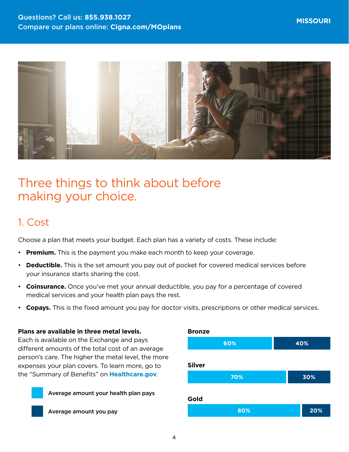

# Three things to think about before making your choice.

### 1. Cost

Choose a plan that meets your budget. Each plan has a variety of costs. These include:

- **Premium.** This is the payment you make each month to keep your coverage.
- **Deductible.** This is the set amount you pay out of pocket for covered medical services before your insurance starts sharing the cost.
- **Coinsurance.** Once you've met your annual deductible, you pay for a percentage of covered medical services and your health plan pays the rest.
- **Copays.** This is the fixed amount you pay for doctor visits, prescriptions or other medical services.

#### **Plans are available in three metal levels.**

Each is available on the Exchange and pays different amounts of the total cost of an average person's care. The higher the metal level, the more expenses your plan covers. To learn more, go to the "Summary of Benefits" on **[Healthcare.gov](http://Healthcare.gov)**.





Average amount you pay

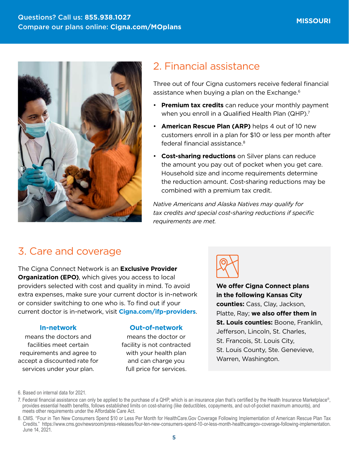

### 2. Financial assistance

Three out of four Cigna customers receive federal financial assistance when buying a plan on the Exchange.<sup>6</sup>

- **Premium tax credits** can reduce your monthly payment when you enroll in a Qualified Health Plan (QHP).<sup>7</sup>
- **American Rescue Plan (ARP)** helps 4 out of 10 new customers enroll in a plan for \$10 or less per month after federal financial assistance.8
- **Cost-sharing reductions** on Silver plans can reduce the amount you pay out of pocket when you get care. Household size and income requirements determine the reduction amount. Cost-sharing reductions may be combined with a premium tax credit.

*Native Americans and Alaska Natives may qualify for tax credits and special cost-sharing reductions if specific requirements are met.*

### 3. Care and coverage

The Cigna Connect Network is an **Exclusive Provider Organization (EPO)**, which gives you access to local providers selected with cost and quality in mind. To avoid extra expenses, make sure your current doctor is in-network or consider switching to one who is. To find out if your current doctor is in-network, visit **[Cigna.com/ifp-providers](https://www.Cigna.com/ifp-providers)**.

#### **In-network**

means the doctors and facilities meet certain requirements and agree to accept a discounted rate for services under your plan.

#### **Out-of-network**

means the doctor or facility is not contracted with your health plan and can charge you full price for services.



**We offer Cigna Connect plans in the following Kansas City counties:** Cass, Clay, Jackson, Platte, Ray; **we also offer them in St. Louis counties:** Boone, Franklin, Jefferson, Lincoln, St. Charles, St. Francois, St. Louis City, St. Louis County, Ste. Genevieve, Warren, Washington.

<sup>6.</sup> Based on internal data for 2021.

<sup>7.</sup> Federal financial assistance can only be applied to the purchase of a QHP, which is an insurance plan that's certified by the Health Insurance Marketplace®, provides essential health benefits, follows established limits on cost-sharing (like deductibles, copayments, and out-of-pocket maximum amounts), and meets other requirements under the Affordable Care Act.

<sup>8.</sup> CMS. "Four in Ten New Consumers Spend \$10 or Less Per Month for HealthCare.Gov Coverage Following Implementation of American Rescue Plan Tax Credits." <https://www.cms.gov/newsroom/press-releases/four-ten-new-consumers-spend-10-or-less-month-healthcaregov-coverage-following-implementation>. June 14, 2021.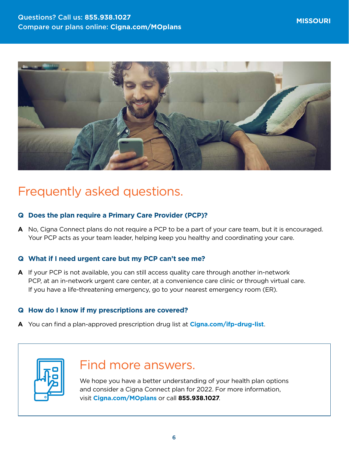

# Frequently asked questions.

#### **Q Does the plan require a Primary Care Provider (PCP)?**

**A** No, Cigna Connect plans do not require a PCP to be a part of your care team, but it is encouraged. Your PCP acts as your team leader, helping keep you healthy and coordinating your care.

### **Q What if I need urgent care but my PCP can't see me?**

**A** If your PCP is not available, you can still access quality care through another in-network PCP, at an in-network urgent care center, at a convenience care clinic or through virtual care. If you have a life-threatening emergency, go to your nearest emergency room (ER).

#### **Q How do I know if my prescriptions are covered?**

**A** You can find a plan-approved prescription drug list at **[Cigna.com/ifp-drug-list](http://Cigna.com/ifp-drug-list)**.



## Find more answers.

We hope you have a better understanding of your health plan options and consider a Cigna Connect plan for 2022. For more information, visit **[Cigna.com/MOplans](http://Cigna.com/MOplans)** or call **855.938.1027**.